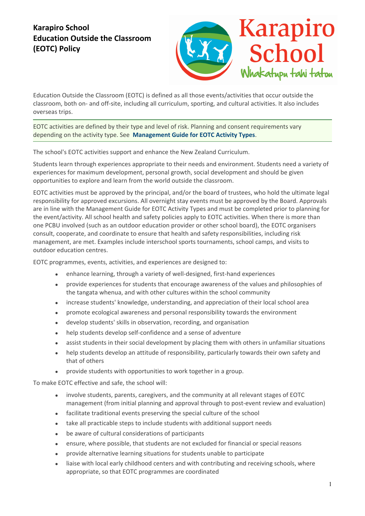## **Karapiro School Education Outside the Classroom (EOTC) Policy**



Education Outside the Classroom (EOTC) is defined as all those events/activities that occur outside the classroom, both on- and off-site, including all curriculum, sporting, and cultural activities. It also includes overseas trips.

EOTC activities are defined by their type and level of risk. Planning and consent requirements vary depending on the activity type. See **Management Guide for EOTC Activity Types**.

The school's EOTC activities support and enhance the New Zealand Curriculum.

Students learn through experiences appropriate to their needs and environment. Students need a variety of experiences for maximum development, personal growth, social development and should be given opportunities to explore and learn from the world outside the classroom.

EOTC activities must be approved by the principal, and/or the board of trustees, who hold the ultimate legal responsibility for approved excursions. All overnight stay events must be approved by the Board. Approvals are in line with the Management Guide for EOTC Activity Types and must be completed prior to planning for the event/activity. All school health and safety policies apply to EOTC activities. When there is more than one PCBU involved (such as an outdoor education provider or other school board), the EOTC organisers consult, cooperate, and coordinate to ensure that health and safety responsibilities, including risk management, are met. Examples include interschool sports tournaments, school camps, and visits to outdoor education centres.

EOTC programmes, events, activities, and experiences are designed to:

- enhance learning, through a variety of well-designed, first-hand experiences
- provide experiences for students that encourage awareness of the values and philosophies of the tangata whenua, and with other cultures within the school community
- increase students' knowledge, understanding, and appreciation of their local school area
- promote ecological awareness and personal responsibility towards the environment
- develop students' skills in observation, recording, and organisation
- help students develop self-confidence and a sense of adventure
- assist students in their social development by placing them with others in unfamiliar situations
- help students develop an attitude of responsibility, particularly towards their own safety and that of others
- provide students with opportunities to work together in a group.

To make EOTC effective and safe, the school will:

- involve students, parents, caregivers, and the community at all relevant stages of EOTC management (from initial planning and approval through to post-event review and evaluation)
- facilitate traditional events preserving the special culture of the school
- take all practicable steps to include students with additional support needs
- be aware of cultural considerations of participants
- ensure, where possible, that students are not excluded for financial or special reasons
- provide alternative learning situations for students unable to participate
- liaise with local early childhood centers and with contributing and receiving schools, where appropriate, so that EOTC programmes are coordinated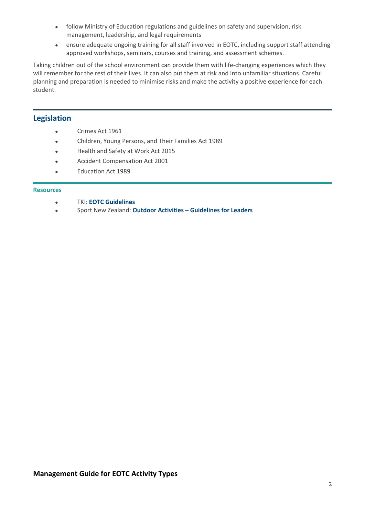- follow Ministry of Education regulations and guidelines on safety and supervision, risk management, leadership, and legal requirements
- ensure adequate ongoing training for all staff involved in EOTC, including support staff attending approved workshops, seminars, courses and training, and assessment schemes.

Taking children out of the school environment can provide them with life-changing experiences which they will remember for the rest of their lives. It can also put them at risk and into unfamiliar situations. Careful planning and preparation is needed to minimise risks and make the activity a positive experience for each student.

## **Legislation**

- **crimes Act 1961**
- **•** Children, Young Persons, and Their Families Act 1989
- **•** Health and Safety at Work Act 2015
- **•** Accident Compensation Act 2001
- **Education Act 1989**

## **Resources**

- x TKI: **EOTC Guidelines**
- x Sport New Zealand: **Outdoor Activities Guidelines for Leaders**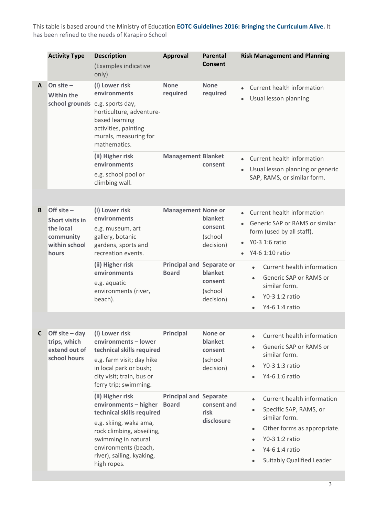This table is based around the Ministry of Education **EOTC Guidelines 2016: Bringing the Curriculum Alive.** It has been refined to the needs of Karapiro School

|   | <b>Activity Type</b>                                                                | <b>Description</b><br>(Examples indicative<br>only)                                                                                                                                                                      | <b>Approval</b>                                  | <b>Parental</b><br><b>Consent</b>                     | <b>Risk Management and Planning</b>                                                                                                                                                                                 |
|---|-------------------------------------------------------------------------------------|--------------------------------------------------------------------------------------------------------------------------------------------------------------------------------------------------------------------------|--------------------------------------------------|-------------------------------------------------------|---------------------------------------------------------------------------------------------------------------------------------------------------------------------------------------------------------------------|
| A | On site $-$<br><b>Within the</b><br>school grounds e.g. sports day,                 | (i) Lower risk<br>environments<br>horticulture, adventure-<br>based learning<br>activities, painting<br>murals, measuring for<br>mathematics.                                                                            | <b>None</b><br>required                          | <b>None</b><br>required                               | Current health information<br>Usual lesson planning                                                                                                                                                                 |
|   |                                                                                     | (ii) Higher risk<br>environments<br>e.g. school pool or<br>climbing wall.                                                                                                                                                | <b>Management Blanket</b>                        | consent                                               | • Current health information<br>Usual lesson planning or generic<br>$\bullet$<br>SAP, RAMS, or similar form.                                                                                                        |
|   |                                                                                     |                                                                                                                                                                                                                          |                                                  |                                                       |                                                                                                                                                                                                                     |
| B | Off site $-$<br>Short visits in<br>the local<br>community<br>within school<br>hours | (i) Lower risk<br>environments<br>e.g. museum, art<br>gallery, botanic<br>gardens, sports and<br>recreation events.                                                                                                      | <b>Management None or</b>                        | blanket<br>consent<br>(school<br>decision)            | Current health information<br>Generic SAP or RAMS or similar<br>form (used by all staff).<br>Y0-3 1:6 ratio<br>Y4-6 1:10 ratio                                                                                      |
|   |                                                                                     | (ii) Higher risk<br>environments<br>e.g. aquatic<br>environments (river,<br>beach).                                                                                                                                      | <b>Principal and Separate or</b><br><b>Board</b> | blanket<br>consent<br>(school<br>decision)            | Current health information<br>$\bullet$<br>Generic SAP or RAMS or<br>$\bullet$<br>similar form.<br>Y0-3 1:2 ratio<br>Y4-6 1:4 ratio                                                                                 |
|   |                                                                                     |                                                                                                                                                                                                                          |                                                  |                                                       |                                                                                                                                                                                                                     |
| C | Off site $-$ day<br>trips, which<br>extend out of<br>school hours                   | (i) Lower risk<br>environments - lower<br>technical skills required<br>e.g. farm visit; day hike<br>in local park or bush;<br>city visit; train, bus or<br>ferry trip; swimming.                                         | <b>Principal</b>                                 | None or<br>blanket<br>consent<br>(school<br>decision) | Current health information<br>Generic SAP or RAMS or<br>similar form.<br>Y0-3 1:3 ratio<br>$\bullet$<br>Y4-6 1:6 ratio                                                                                              |
|   |                                                                                     | (ii) Higher risk<br>environments - higher<br>technical skills required<br>e.g. skiing, waka ama,<br>rock climbing, abseiling,<br>swimming in natural<br>environments (beach,<br>river), sailing, kyaking,<br>high ropes. | <b>Principal and Separate</b><br><b>Board</b>    | consent and<br>risk<br>disclosure                     | Current health information<br>$\bullet$<br>Specific SAP, RAMS, or<br>$\bullet$<br>similar form.<br>Other forms as appropriate.<br>$\bullet$<br>Y0-3 1:2 ratio<br>Y4-6 1:4 ratio<br><b>Suitably Qualified Leader</b> |